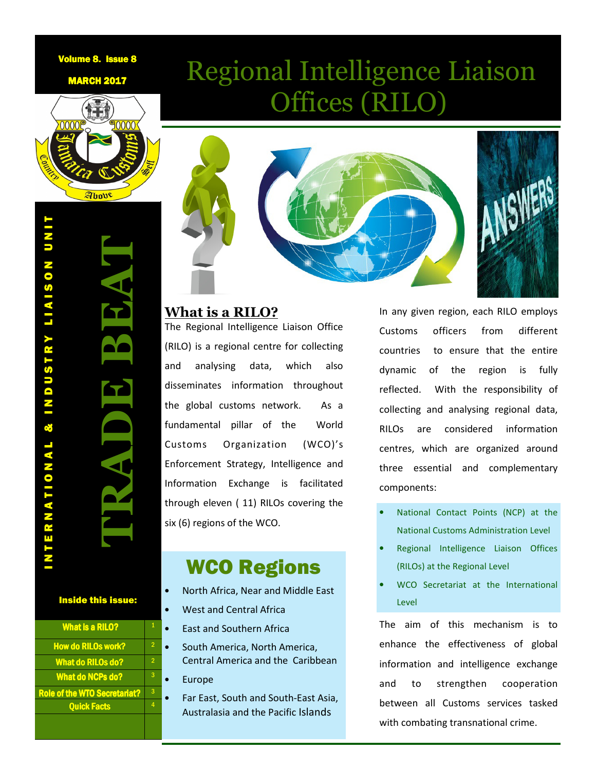### Volume 8. Issue 8

**MARCH 2017** 



ANSWERS

Regional Intelligence Liaison

Offices (RILO)

### **What is a RILO?**

The Regional Intelligence Liaison Office (RILO) is a regional centre for collecting and analysing data, which also disseminates information throughout the global customs network. As a fundamental pillar of the World Customs Organization (WCO)'s Enforcement Strategy, Intelligence and Information Exchange is facilitated through eleven ( 11) RILOs covering the six (6) regions of the WCO.

# WCO Regions

- North Africa, Near and Middle East
- West and Central Africa
	- East and Southern Africa
	- South America, North America, Central America and the Caribbean
	- **Europe**

3

• Far East, South and South-East Asia, Australasia and the Pacific Islands

In any given region, each RILO employs Customs officers from different countries to ensure that the entire dynamic of the region is fully reflected. With the responsibility of collecting and analysing regional data, RILOs are considered information centres, which are organized around three essential and complementary components:

- National Contact Points (NCP) at the National Customs Administration Level
- Regional Intelligence Liaison Offices (RILOs) at the Regional Level
- WCO Secretariat at the International Level

The aim of this mechanism is to enhance the effectiveness of global information and intelligence exchange and to strengthen cooperation between all Customs services tasked with combating transnational crime.

Inside this issue:

What is a RILO? How do RILOs work? **What do RILOs do?** What do NCPs do?

Role of the WTO Secretariat? Quick Facts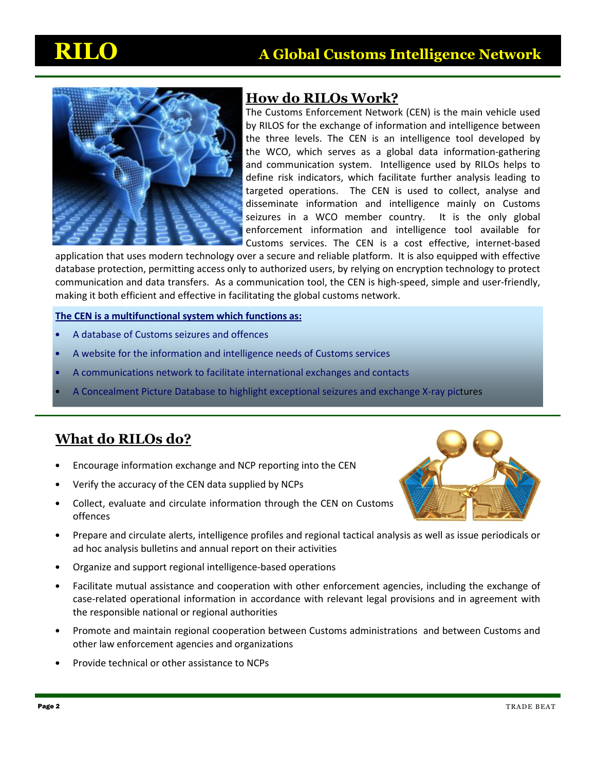

## **How do RILOs Work?**

The Customs Enforcement Network (CEN) is the main vehicle used by RILOS for the exchange of information and intelligence between the three levels. The CEN is an intelligence tool developed by the WCO, which serves as a global data information-gathering and communication system. Intelligence used by RILOs helps to define risk indicators, which facilitate further analysis leading to targeted operations. The CEN is used to collect, analyse and disseminate information and intelligence mainly on Customs seizures in a WCO member country. It is the only global enforcement information and intelligence tool available for Customs services. The CEN is a cost effective, internet-based

application that uses modern technology over a secure and reliable platform. It is also equipped with effective database protection, permitting access only to authorized users, by relying on encryption technology to protect communication and data transfers. As a communication tool, the CEN is high-speed, simple and user-friendly, making it both efficient and effective in facilitating the global customs network.

### **The CEN is a multifunctional system which functions as:**

- A database of Customs seizures and offences
- A website for the information and intelligence needs of Customs services
- A communications network to facilitate international exchanges and contacts
- A Concealment Picture Database to highlight exceptional seizures and exchange X-ray pictures

## **What do RILOs do?**

- Encourage information exchange and NCP reporting into the CEN
- Verify the accuracy of the CEN data supplied by NCPs
- Collect, evaluate and circulate information through the CEN on Customs offences



- Prepare and circulate alerts, intelligence profiles and regional tactical analysis as well as issue periodicals or ad hoc analysis bulletins and annual report on their activities
- Organize and support regional intelligence-based operations
- Facilitate mutual assistance and cooperation with other enforcement agencies, including the exchange of case-related operational information in accordance with relevant legal provisions and in agreement with the responsible national or regional authorities
- Promote and maintain regional cooperation between Customs administrations and between Customs and other law enforcement agencies and organizations
- Provide technical or other assistance to NCPs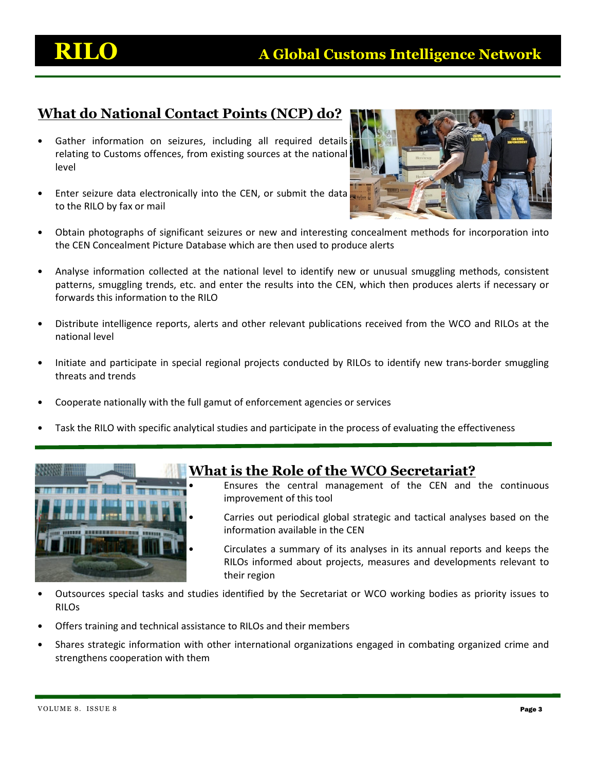## **What do National Contact Points (NCP) do?**

- Gather information on seizures, including all required details relating to Customs offences, from existing sources at the national level
- Enter seizure data electronically into the CEN, or submit the data to the RILO by fax or mail



- Obtain photographs of significant seizures or new and interesting concealment methods for incorporation into the CEN Concealment Picture Database which are then used to produce alerts
- Analyse information collected at the national level to identify new or unusual smuggling methods, consistent patterns, smuggling trends, etc. and enter the results into the CEN, which then produces alerts if necessary or forwards this information to the RILO
- Distribute intelligence reports, alerts and other relevant publications received from the WCO and RILOs at the national level
- Initiate and participate in special regional projects conducted by RILOs to identify new trans-border smuggling threats and trends
- Cooperate nationally with the full gamut of enforcement agencies or services
- Task the RILO with specific analytical studies and participate in the process of evaluating the effectiveness



### **What is the Role of the WCO Secretariat?**

- Ensures the central management of the CEN and the continuous improvement of this tool
- Carries out periodical global strategic and tactical analyses based on the information available in the CEN
- Circulates a summary of its analyses in its annual reports and keeps the RILOs informed about projects, measures and developments relevant to their region
- Outsources special tasks and studies identified by the Secretariat or WCO working bodies as priority issues to RILOs
- Offers training and technical assistance to RILOs and their members
- Shares strategic information with other international organizations engaged in combating organized crime and strengthens cooperation with them